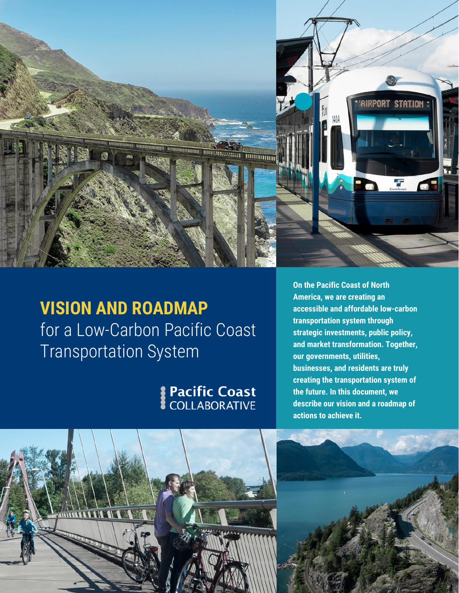

## **VISION AND ROADMAP** for a Low-Carbon Pacific Coast Transportation System

# Pacific Coast

**On the Pacific Coast of North America, we are creating an accessible and affordable low-carbon transportation system through strategic investments, public policy, and market transformation. Together, our governments, utilities, businesses, and residents are truly creating the transportation system of the future. In this document, we describe our vision and a roadmap of actions to achieve it.**

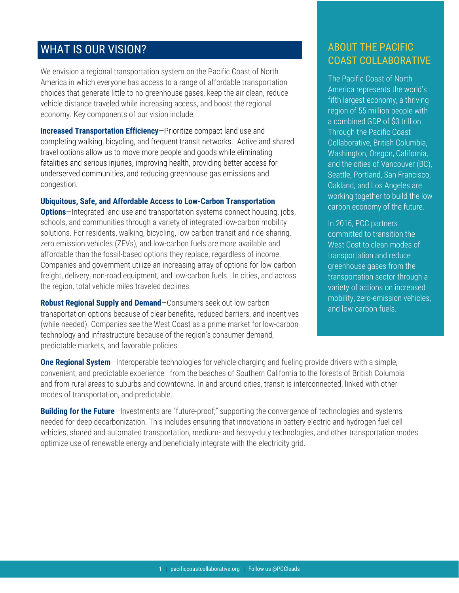### WHAT IS OUR VISION?

We envision a regional transportation system on the Pacific Coast of North America in which everyone has access to a range of affordable transportation choices that generate little to no greenhouse gases, keep the air clean, reduce vehicle distance traveled while increasing access, and boost the regional economy. Key components of our vision include:

**Increased Transportation Efficiency**—Prioritize compact land use and completing walking, bicycling, and frequent transit networks. Active and shared travel options allow us to move more people and goods while eliminating fatalities and serious injuries, improving health, providing better access for underserved communities, and reducing greenhouse gas emissions and congestion.

#### **Ubiquitous, Safe, and Affordable Access to Low-Carbon Transportation**

**Options**—Integrated land use and transportation systems connect housing, jobs, schools, and communities through a variety of integrated low-carbon mobility solutions. For residents, walking, bicycling, low-carbon transit and ride-sharing, zero emission vehicles (ZEVs), and low-carbon fuels are more available and affordable than the fossil-based options they replace, regardless of income. Companies and government utilize an increasing array of options for low-carbon freight, delivery, non-road equipment, and low-carbon fuels. In cities, and across the region, total vehicle miles traveled declines.

**Robust Regional Supply and Demand**—Consumers seek out low-carbon transportation options because of clear benefits, reduced barriers, and incentives (while needed). Companies see the West Coast as a prime market for low-carbon technology and infrastructure because of the region's consumer demand, predictable markets, and favorable policies.

### ABOUT THE PACIFIC COAST COLLABORATIVE

The Pacific Coast of North America represents the world's fifth largest economy, a thriving region of 55 million people with a combined GDP of \$3 trillion. Through the Pacific Coast Collaborative, British Columbia, Washington, Oregon, California, and the cities of Vancouver (BC), Seattle, Portland, San Francisco, Oakland, and Los Angeles are working together to build the low carbon economy of the future.

In 2016, PCC partners committed to transition the West Cost to clean modes of transportation and reduce greenhouse gases from the transportation sector through a variety of actions on increased mobility, zero-emission vehicles, and low-carbon fuels.

**One Regional System**—Interoperable technologies for vehicle charging and fueling provide drivers with a simple, convenient, and predictable experience—from the beaches of Southern California to the forests of British Columbia and from rural areas to suburbs and downtowns. In and around cities, transit is interconnected, linked with other modes of transportation, and predictable.

**Building for the Future**—Investments are "future-proof," supporting the convergence of technologies and systems needed for deep decarbonization. This includes ensuring that innovations in battery electric and hydrogen fuel cell vehicles, shared and automated transportation, medium- and heavy-duty technologies, and other transportation modes optimize use of renewable energy and beneficially integrate with the electricity grid.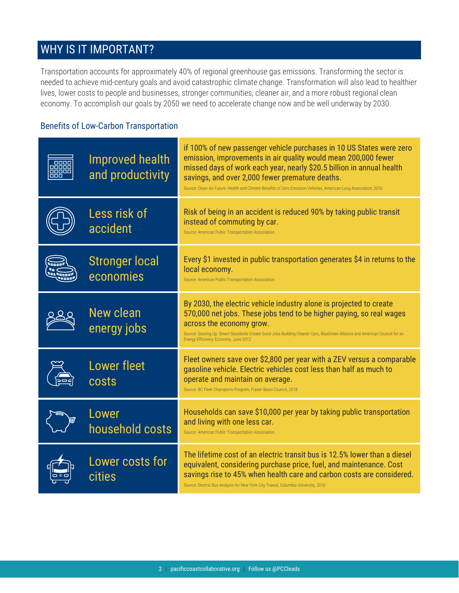### WHY IS IT IMPORTANT?

Transportation accounts for approximately 40% of regional greenhouse gas emissions. Transforming the sector is needed to achieve mid-century goals and avoid catastrophic climate change. Transformation will also lead to healthier lives, lower costs to people and businesses, stronger communities, cleaner air, and a more robust regional clean economy. To accomplish our goals by 2050 we need to accelerate change now and be well underway by 2030.

### Benefits of Low-Carbon Transportation

| e o st<br>n ini ni ni n | Improved health<br>and productivity | if 100% of new passenger vehicle purchases in 10 US States were zero<br>emission, improvements in air quality would mean 200,000 fewer<br>missed days of work each year, nearly \$20.5 billion in annual health<br>savings, and over 2,000 fewer premature deaths.<br>Source: Clean Air Future: Health and Climate Benefits of Zero Emission Vehicles, American Lung Association, 2016 |
|-------------------------|-------------------------------------|----------------------------------------------------------------------------------------------------------------------------------------------------------------------------------------------------------------------------------------------------------------------------------------------------------------------------------------------------------------------------------------|
|                         | Less risk of<br>accident            | Risk of being in an accident is reduced 90% by taking public transit<br>instead of commuting by car.<br>Source: American Public Transportation Association                                                                                                                                                                                                                             |
|                         | <b>Stronger local</b><br>economies  | Every \$1 invested in public transportation generates \$4 in returns to the<br>local economy.<br>Source: American Public Transportation Association                                                                                                                                                                                                                                    |
|                         | <b>New clean</b><br>energy jobs     | By 2030, the electric vehicle industry alone is projected to create<br>570,000 net jobs. These jobs tend to be higher paying, so real wages<br>across the economy grow.<br>Source: Gearing Up: Smart Standards Create Good Jobs Building Cleaner Cars, BlueGreen Alliance and American Council for an<br>Energy-Efficiency Economy, June 2012                                          |
|                         | <b>Lower fleet</b><br>costs         | Fleet owners save over \$2,800 per year with a ZEV versus a comparable<br>gasoline vehicle. Electric vehicles cost less than half as much to<br>operate and maintain on average.<br>Source: BC Fleet Champions Program, Fraser Basin Council, 2018                                                                                                                                     |
|                         | Lower<br>household costs            | Households can save \$10,000 per year by taking public transportation<br>and living with one less car.<br>Source: American Public Transportation Association                                                                                                                                                                                                                           |
|                         | Lower costs for<br>cities           | The lifetime cost of an electric transit bus is 12.5% lower than a diesel<br>equivalent, considering purchase price, fuel, and maintenance. Cost<br>savings rise to 45% when health care and carbon costs are considered.<br>Source: Electric Bus Analysis for New York City Transit, Columbia University, 2016                                                                        |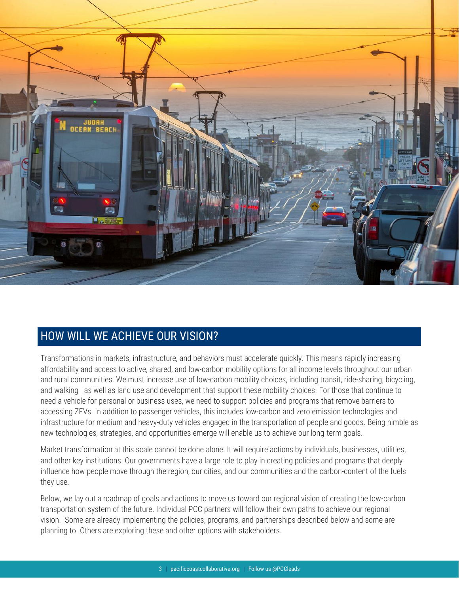

### HOW WILL WE ACHIEVE OUR VISION?

Transformations in markets, infrastructure, and behaviors must accelerate quickly. This means rapidly increasing affordability and access to active, shared, and low-carbon mobility options for all income levels throughout our urban and rural communities. We must increase use of low-carbon mobility choices, including transit, ride-sharing, bicycling, and walking—as well as land use and development that support these mobility choices. For those that continue to need a vehicle for personal or business uses, we need to support policies and programs that remove barriers to accessing ZEVs. In addition to passenger vehicles, this includes low-carbon and zero emission technologies and infrastructure for medium and heavy-duty vehicles engaged in the transportation of people and goods. Being nimble as new technologies, strategies, and opportunities emerge will enable us to achieve our long-term goals.

Market transformation at this scale cannot be done alone. It will require actions by individuals, businesses, utilities, and other key institutions. Our governments have a large role to play in creating policies and programs that deeply influence how people move through the region, our cities, and our communities and the carbon-content of the fuels they use.

Below, we lay out a roadmap of goals and actions to move us toward our regional vision of creating the low-carbon transportation system of the future. Individual PCC partners will follow their own paths to achieve our regional vision. Some are already implementing the policies, programs, and partnerships described below and some are planning to. Others are exploring these and other options with stakeholders.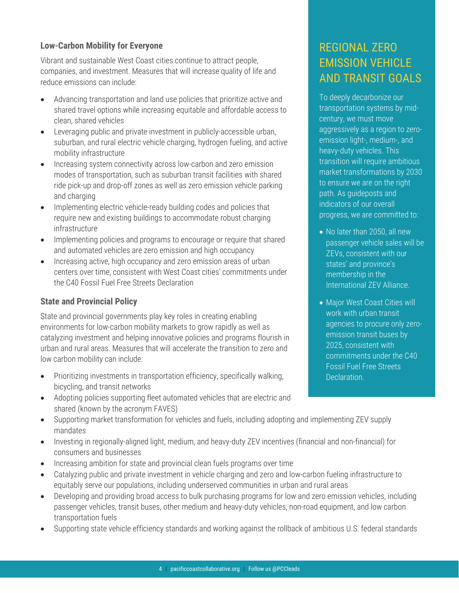#### **Low-Carbon Mobility for Everyone**

Vibrant and sustainable West Coast cities continue to attract people, companies, and investment. Measures that will increase quality of life and reduce emissions can include:

- Advancing transportation and land use policies that prioritize active and shared travel options while increasing equitable and affordable access to clean, shared vehicles
- Leveraging public and private investment in publicly-accessible urban, suburban, and rural electric vehicle charging, hydrogen fueling, and active mobility infrastructure
- Increasing system connectivity across low-carbon and zero emission modes of transportation, such as suburban transit facilities with shared ride pick-up and drop-off zones as well as zero emission vehicle parking and charging
- Implementing electric vehicle-ready building codes and policies that require new and existing buildings to accommodate robust charging infrastructure
- Implementing policies and programs to encourage or require that shared and automated vehicles are zero emission and high occupancy
- Increasing active, high occupancy and zero emission areas of urban centers over time, consistent with West Coast cities' commitments under the C40 Fossil Fuel Free Streets Declaration

#### **State and Provincial Policy**

State and provincial governments play key roles in creating enabling environments for low-carbon mobility markets to grow rapidly as well as catalyzing investment and helping innovative policies and programs flourish in urban and rural areas. Measures that will accelerate the transition to zero and low carbon mobility can include:

- Prioritizing investments in transportation efficiency, specifically walking, bicycling, and transit networks
- Adopting policies supporting fleet automated vehicles that are electric and shared (known by the acronym FAVES)
- Supporting market transformation for vehicles and fuels, including adopting and implementing ZEV supply mandates
- Investing in regionally-aligned light, medium, and heavy-duty ZEV incentives (financial and non-financial) for consumers and businesses
- Increasing ambition for state and provincial clean fuels programs over time
- Catalyzing public and private investment in vehicle charging and zero and low-carbon fueling infrastructure to equitably serve our populations, including underserved communities in urban and rural areas
- Developing and providing broad access to bulk purchasing programs for low and zero emission vehicles, including passenger vehicles, transit buses, other medium and heavy-duty vehicles, non-road equipment, and low carbon transportation fuels
- Supporting state vehicle efficiency standards and working against the rollback of ambitious U.S. federal standards

### REGIONAL ZERO EMISSION VEHICLE AND TRANSIT GOALS

To deeply decarbonize our transportation systems by midcentury, we must move aggressively as a region to zeroemission light-, medium-, and heavy-duty vehicles. This transition will require ambitious market transformations by 2030 to ensure we are on the right path. As guideposts and indicators of our overall progress, we are committed to:

- No later than 2050, all new passenger vehicle sales will be ZEVs, consistent with our states' and province's membership in the International ZEV Alliance.
- Major West Coast Cities will work with urban transit agencies to procure only zeroemission transit buses by 2025, consistent with commitments under the C40 Fossil Fuel Free Streets Declaration.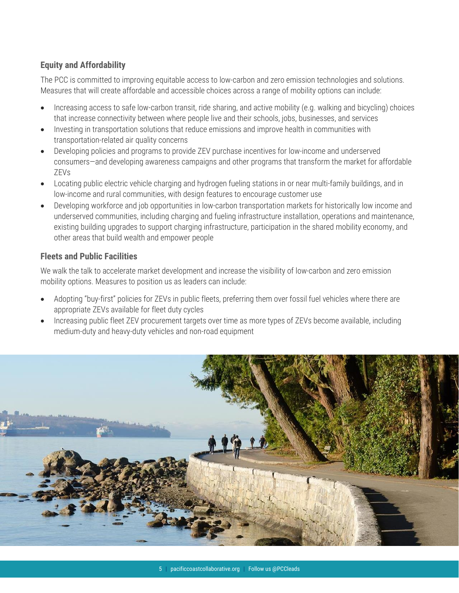### **Equity and Affordability**

The PCC is committed to improving equitable access to low-carbon and zero emission technologies and solutions. Measures that will create affordable and accessible choices across a range of mobility options can include:

- Increasing access to safe low-carbon transit, ride sharing, and active mobility (e.g. walking and bicycling) choices that increase connectivity between where people live and their schools, jobs, businesses, and services
- Investing in transportation solutions that reduce emissions and improve health in communities with transportation-related air quality concerns
- Developing policies and programs to provide ZEV purchase incentives for low-income and underserved consumers—and developing awareness campaigns and other programs that transform the market for affordable ZEVs
- Locating public electric vehicle charging and hydrogen fueling stations in or near multi-family buildings, and in low-income and rural communities, with design features to encourage customer use
- Developing workforce and job opportunities in low-carbon transportation markets for historically low income and underserved communities, including charging and fueling infrastructure installation, operations and maintenance, existing building upgrades to support charging infrastructure, participation in the shared mobility economy, and other areas that build wealth and empower people

### **Fleets and Public Facilities**

We walk the talk to accelerate market development and increase the visibility of low-carbon and zero emission mobility options. Measures to position us as leaders can include:

- Adopting "buy-first" policies for ZEVs in public fleets, preferring them over fossil fuel vehicles where there are appropriate ZEVs available for fleet duty cycles
- Increasing public fleet ZEV procurement targets over time as more types of ZEVs become available, including medium-duty and heavy-duty vehicles and non-road equipment

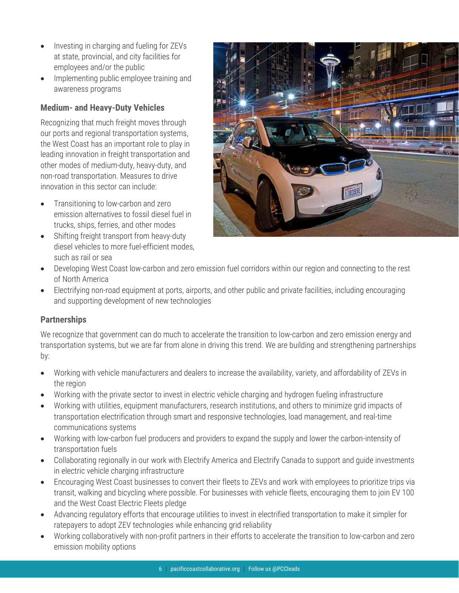- Investing in charging and fueling for ZEVs at state, provincial, and city facilities for employees and/or the public
- Implementing public employee training and awareness programs

### **Medium- and Heavy-Duty Vehicles**

Recognizing that much freight moves through our ports and regional transportation systems, the West Coast has an important role to play in leading innovation in freight transportation and other modes of medium-duty, heavy-duty, and non-road transportation. Measures to drive innovation in this sector can include:

- Transitioning to low-carbon and zero emission alternatives to fossil diesel fuel in trucks, ships, ferries, and other modes
- Shifting freight transport from heavy-duty diesel vehicles to more fuel-efficient modes, such as rail or sea



- Developing West Coast low-carbon and zero emission fuel corridors within our region and connecting to the rest of North America
- Electrifying non-road equipment at ports, airports, and other public and private facilities, including encouraging and supporting development of new technologies

#### **Partnerships**

We recognize that government can do much to accelerate the transition to low-carbon and zero emission energy and transportation systems, but we are far from alone in driving this trend. We are building and strengthening partnerships by:

- Working with vehicle manufacturers and dealers to increase the availability, variety, and affordability of ZEVs in the region
- Working with the private sector to invest in electric vehicle charging and hydrogen fueling infrastructure
- Working with utilities, equipment manufacturers, research institutions, and others to minimize grid impacts of transportation electrification through smart and responsive technologies, load management, and real-time communications systems
- Working with low-carbon fuel producers and providers to expand the supply and lower the carbon-intensity of transportation fuels
- Collaborating regionally in our work with Electrify America and Electrify Canada to support and guide investments in electric vehicle charging infrastructure
- Encouraging West Coast businesses to convert their fleets to ZEVs and work with employees to prioritize trips via transit, walking and bicycling where possible. For businesses with vehicle fleets, encouraging them to join EV 100 and the West Coast Electric Fleets pledge
- Advancing regulatory efforts that encourage utilities to invest in electrified transportation to make it simpler for ratepayers to adopt ZEV technologies while enhancing grid reliability
- Working collaboratively with non-profit partners in their efforts to accelerate the transition to low-carbon and zero emission mobility options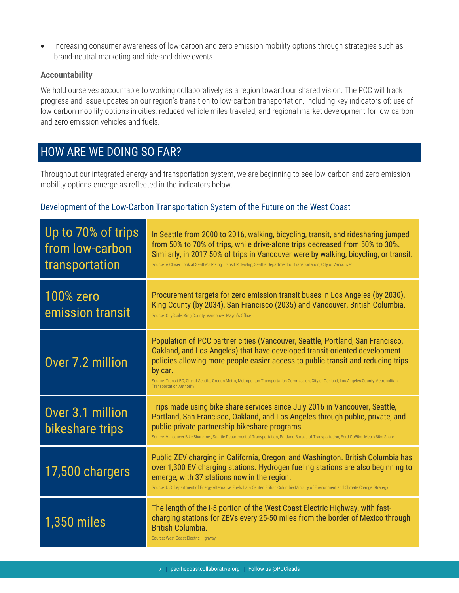• Increasing consumer awareness of low-carbon and zero emission mobility options through strategies such as brand-neutral marketing and ride-and-drive events

#### **Accountability**

We hold ourselves accountable to working collaboratively as a region toward our shared vision. The PCC will track progress and issue updates on our region's transition to low-carbon transportation, including key indicators of: use of low-carbon mobility options in cities, reduced vehicle miles traveled, and regional market development for low-carbon and zero emission vehicles and fuels.

### HOW ARE WE DOING SO FAR?

Throughout our integrated energy and transportation system, we are beginning to see low-carbon and zero emission mobility options emerge as reflected in the indicators below.

#### Development of the Low-Carbon Transportation System of the Future on the West Coast

| Up to 70% of trips<br>from low-carbon<br>transportation | In Seattle from 2000 to 2016, walking, bicycling, transit, and ridesharing jumped<br>from 50% to 70% of trips, while drive-alone trips decreased from 50% to 30%.<br>Similarly, in 2017 50% of trips in Vancouver were by walking, bicycling, or transit.<br>Source: A Closer Look at Seattle's Rising Transit Ridership, Seattle Department of Transportation; City of Vancouver                                                             |
|---------------------------------------------------------|-----------------------------------------------------------------------------------------------------------------------------------------------------------------------------------------------------------------------------------------------------------------------------------------------------------------------------------------------------------------------------------------------------------------------------------------------|
| <b>100% zero</b><br>emission transit                    | Procurement targets for zero emission transit buses in Los Angeles (by 2030),<br>King County (by 2034), San Francisco (2035) and Vancouver, British Columbia.<br>Source: CityScale; King County; Vancouver Mayor's Office                                                                                                                                                                                                                     |
| Over 7.2 million                                        | Population of PCC partner cities (Vancouver, Seattle, Portland, San Francisco,<br>Oakland, and Los Angeles) that have developed transit-oriented development<br>policies allowing more people easier access to public transit and reducing trips<br>by car.<br>Source: Transit BC, City of Seattle, Oregon Metro, Metropolitan Transportation Commission, City of Oakland, Los Angeles County Metropolitan<br><b>Transportation Authority</b> |
| Over 3.1 million<br>bikeshare trips                     | Trips made using bike share services since July 2016 in Vancouver, Seattle,<br>Portland, San Francisco, Oakland, and Los Angeles through public, private, and<br>public-private partnership bikeshare programs.<br>Source: Vancouver Bike Share Inc., Seattle Department of Transportation, Portland Bureau of Transportation; Ford GoBike. Metro Bike Share                                                                                  |
| 17,500 chargers                                         | Public ZEV charging in California, Oregon, and Washington. British Columbia has<br>over 1,300 EV charging stations. Hydrogen fueling stations are also beginning to<br>emerge, with 37 stations now in the region.<br>Source: U.S. Department of Energy Alternative Fuels Data Center; British Columbia Ministry of Environment and Climate Change Strategy                                                                                   |
| <b>1,350 miles</b>                                      | The length of the I-5 portion of the West Coast Electric Highway, with fast-<br>charging stations for ZEVs every 25-50 miles from the border of Mexico through<br><b>British Columbia.</b><br>Source: West Coast Electric Highway                                                                                                                                                                                                             |